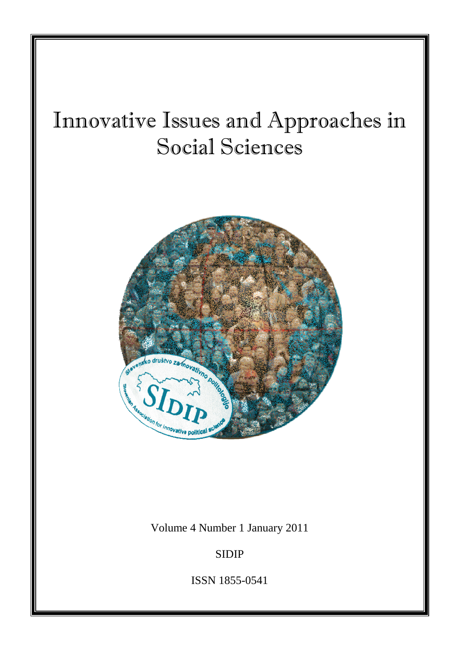# Innovative Issues and Approaches in Social Sciences



Volume 4 Number 1 January 2011

SIDIP

ISSN 1855-0541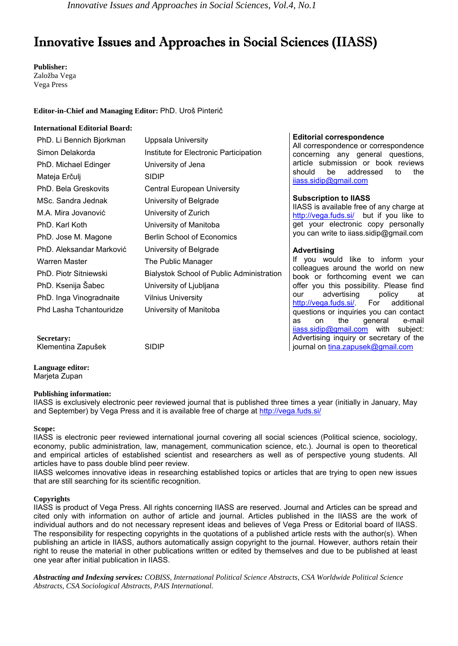*Innovative Issues and Approaches in Social Sciences, Vol.4, No.1* 

# Innovative Issues and Approaches in Social Sciences (IIASS)

**Publisher:** Založba Vega Vega Press

#### **Editor-in-Chief and Managing Editor:** PhD. Uroš Pinterič

#### **International Editorial Board:**

| PhD. Li Bennich Bjorkman | Uppsala University                        | Е                             |
|--------------------------|-------------------------------------------|-------------------------------|
| Simon Delakorda          | Institute for Electronic Participation    | Α<br>C                        |
| PhD. Michael Edinger     | University of Jena                        | а                             |
| Mateja Erčulj            | <b>SIDIP</b>                              | s<br>Ш                        |
| PhD. Bela Greskovits     | Central European University               |                               |
| MSc. Sandra Jednak       | University of Belgrade                    | S                             |
| M.A. Mira Jovanović      | University of Zurich                      | Ш                             |
| PhD. Karl Koth           | University of Manitoba                    | $rac{\mathsf{h}}{\mathsf{g}}$ |
| PhD. Jose M. Magone      | <b>Berlin School of Economics</b>         | у                             |
| PhD. Aleksandar Marković | University of Belgrade                    | A                             |
| Warren Master            | The Public Manager                        | lf                            |
| PhD. Piotr Sitniewski    | Bialystok School of Public Administration | C<br>b                        |
| PhD. Ksenija Šabec       | University of Ljubljana                   | o                             |
| PhD. Inga Vinogradnaite  | <b>Vilnius University</b>                 | о                             |
| Phd Lasha Tchantouridze  | University of Manitoba                    | $\overline{\mathsf{h}}$<br>q  |
|                          |                                           |                               |

#### **Editorial correspondence**

All correspondence or correspondence concerning any general questions, article submission or book reviews hould be addressed to the ass.sidip@gmail.com

#### **Subscription to IIASS**

ASS is available free of any charge at ttp://vega.fuds.si/ but if you like to et your electronic copy personally ou can write to iiass.sidip@gmail.com

#### **Advertising**

you would like to inform your colleagues around the world on new book or forthcoming event we can offer you this possibility. Please find our advertising policy at http://vega.fuds.si/. For additional questions or inquiries you can contact as on the general e-mail iiass.sidip@gmail.com with subject: Advertising inquiry or secretary of the journal on tina.zapusek@gmail.com

Klementina Zapušek SIDIP

**Language editor:** 

Marjeta Zupan

**Secretary:** 

#### **Publishing information:**

IIASS is exclusively electronic peer reviewed journal that is published three times a year (initially in January, May and September) by Vega Press and it is available free of charge at http://vega.fuds.si/

#### **Scope:**

IIASS is electronic peer reviewed international journal covering all social sciences (Political science, sociology, economy, public administration, law, management, communication science, etc.). Journal is open to theoretical and empirical articles of established scientist and researchers as well as of perspective young students. All articles have to pass double blind peer review.

IIASS welcomes innovative ideas in researching established topics or articles that are trying to open new issues that are still searching for its scientific recognition.

#### **Copyrights**

IIASS is product of Vega Press. All rights concerning IIASS are reserved. Journal and Articles can be spread and cited only with information on author of article and journal. Articles published in the IIASS are the work of individual authors and do not necessary represent ideas and believes of Vega Press or Editorial board of IIASS. The responsibility for respecting copyrights in the quotations of a published article rests with the author(s). When publishing an article in IIASS, authors automatically assign copyright to the journal. However, authors retain their right to reuse the material in other publications written or edited by themselves and due to be published at least one year after initial publication in IIASS.

*Abstracting and Indexing services: COBISS, International Political Science Abstracts, CSA Worldwide Political Science Abstracts, CSA Sociological Abstracts, PAIS International.*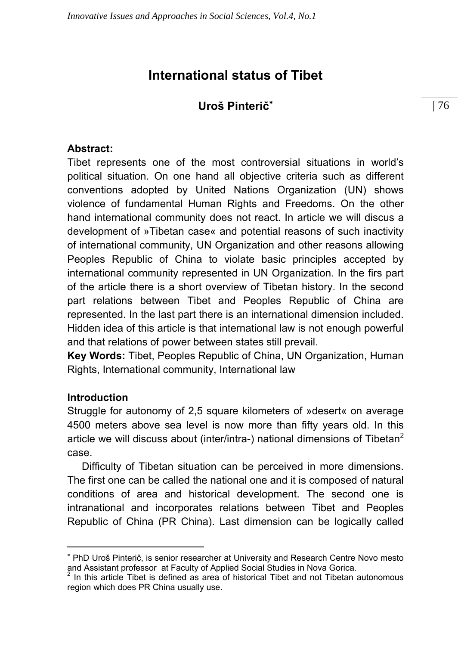# **International status of Tibet**

## **Uroš Pinterič**<sup>∗</sup>

#### **Abstract:**

Tibet represents one of the most controversial situations in world's political situation. On one hand all objective criteria such as different conventions adopted by United Nations Organization (UN) shows violence of fundamental Human Rights and Freedoms. On the other hand international community does not react. In article we will discus a development of »Tibetan case« and potential reasons of such inactivity of international community, UN Organization and other reasons allowing Peoples Republic of China to violate basic principles accepted by international community represented in UN Organization. In the firs part of the article there is a short overview of Tibetan history. In the second part relations between Tibet and Peoples Republic of China are represented. In the last part there is an international dimension included. Hidden idea of this article is that international law is not enough powerful and that relations of power between states still prevail.

**Key Words:** Tibet, Peoples Republic of China, UN Organization, Human Rights, International community, International law

### **Introduction**

 $\overline{a}$ 

Struggle for autonomy of 2,5 square kilometers of »desert« on average 4500 meters above sea level is now more than fifty years old. In this article we will discuss about (inter/intra-) national dimensions of Tibetan<sup>2</sup> case.

 Difficulty of Tibetan situation can be perceived in more dimensions. The first one can be called the national one and it is composed of natural conditions of area and historical development. The second one is intranational and incorporates relations between Tibet and Peoples Republic of China (PR China). Last dimension can be logically called

<sup>∗</sup> PhD Uroš Pinterič, is senior researcher at University and Research Centre Novo mesto and Assistant professor at Faculty of Applied Social Studies in Nova Gorica.

 $2$  In this article Tibet is defined as area of historical Tibet and not Tibetan autonomous region which does PR China usually use.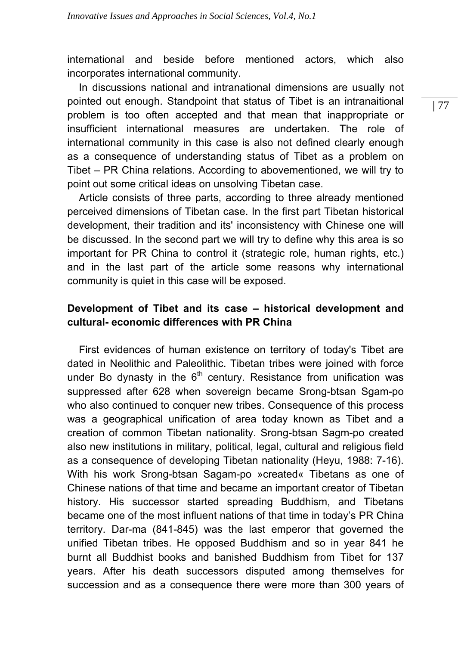international and beside before mentioned actors, which also incorporates international community.

 In discussions national and intranational dimensions are usually not pointed out enough. Standpoint that status of Tibet is an intranaitional problem is too often accepted and that mean that inappropriate or insufficient international measures are undertaken. The role of international community in this case is also not defined clearly enough as a consequence of understanding status of Tibet as a problem on Tibet – PR China relations. According to abovementioned, we will try to point out some critical ideas on unsolving Tibetan case.

 Article consists of three parts, according to three already mentioned perceived dimensions of Tibetan case. In the first part Tibetan historical development, their tradition and its' inconsistency with Chinese one will be discussed. In the second part we will try to define why this area is so important for PR China to control it (strategic role, human rights, etc.) and in the last part of the article some reasons why international community is quiet in this case will be exposed.

## **Development of Tibet and its case – historical development and cultural- economic differences with PR China**

 First evidences of human existence on territory of today's Tibet are dated in Neolithic and Paleolithic. Tibetan tribes were joined with force under Bo dynasty in the  $6<sup>th</sup>$  century. Resistance from unification was suppressed after 628 when sovereign became Srong-btsan Sgam-po who also continued to conquer new tribes. Consequence of this process was a geographical unification of area today known as Tibet and a creation of common Tibetan nationality. Srong-btsan Sagm-po created also new institutions in military, political, legal, cultural and religious field as a consequence of developing Tibetan nationality (Heyu, 1988: 7-16). With his work Srong-btsan Sagam-po »created« Tibetans as one of Chinese nations of that time and became an important creator of Tibetan history. His successor started spreading Buddhism, and Tibetans became one of the most influent nations of that time in today's PR China territory. Dar-ma (841-845) was the last emperor that governed the unified Tibetan tribes. He opposed Buddhism and so in year 841 he burnt all Buddhist books and banished Buddhism from Tibet for 137 years. After his death successors disputed among themselves for succession and as a consequence there were more than 300 years of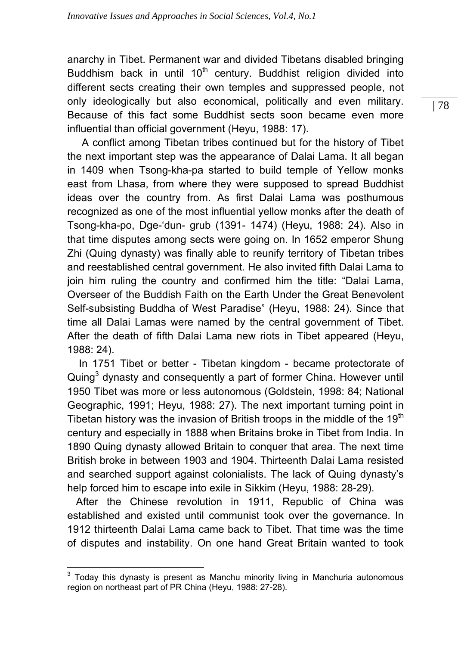anarchy in Tibet. Permanent war and divided Tibetans disabled bringing Buddhism back in until  $10<sup>th</sup>$  century. Buddhist religion divided into different sects creating their own temples and suppressed people, not only ideologically but also economical, politically and even military. Because of this fact some Buddhist sects soon became even more influential than official government (Heyu, 1988: 17).

 A conflict among Tibetan tribes continued but for the history of Tibet the next important step was the appearance of Dalai Lama. It all began in 1409 when Tsong-kha-pa started to build temple of Yellow monks east from Lhasa, from where they were supposed to spread Buddhist ideas over the country from. As first Dalai Lama was posthumous recognized as one of the most influential yellow monks after the death of Tsong-kha-po, Dge-'dun- grub (1391- 1474) (Heyu, 1988: 24). Also in that time disputes among sects were going on. In 1652 emperor Shung Zhi (Quing dynasty) was finally able to reunify territory of Tibetan tribes and reestablished central government. He also invited fifth Dalai Lama to join him ruling the country and confirmed him the title: "Dalai Lama, Overseer of the Buddish Faith on the Earth Under the Great Benevolent Self-subsisting Buddha of West Paradise" (Heyu, 1988: 24). Since that time all Dalai Lamas were named by the central government of Tibet. After the death of fifth Dalai Lama new riots in Tibet appeared (Heyu, 1988: 24).

 In 1751 Tibet or better - Tibetan kingdom - became protectorate of Quing<sup>3</sup> dynasty and consequently a part of former China. However until 1950 Tibet was more or less autonomous (Goldstein, 1998: 84; National Geographic, 1991; Heyu, 1988: 27). The next important turning point in Tibetan history was the invasion of British troops in the middle of the  $19<sup>th</sup>$ century and especially in 1888 when Britains broke in Tibet from India. In 1890 Quing dynasty allowed Britain to conquer that area. The next time British broke in between 1903 and 1904. Thirteenth Dalai Lama resisted and searched support against colonialists. The lack of Quing dynasty's help forced him to escape into exile in Sikkim (Heyu, 1988: 28-29).

 After the Chinese revolution in 1911, Republic of China was established and existed until communist took over the governance. In 1912 thirteenth Dalai Lama came back to Tibet. That time was the time of disputes and instability. On one hand Great Britain wanted to took

<sup>&</sup>lt;u>meta</u><br><sup>3</sup> Today this dynasty is present as Manchu minority living in Manchuria autonomous region on northeast part of PR China (Heyu, 1988: 27-28).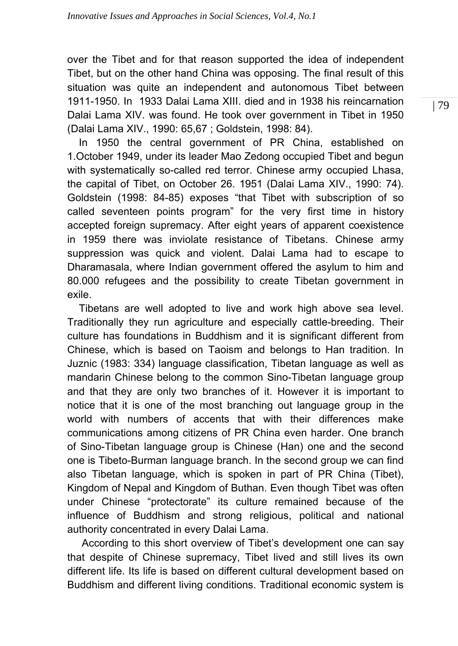over the Tibet and for that reason supported the idea of independent Tibet, but on the other hand China was opposing. The final result of this situation was quite an independent and autonomous Tibet between 1911-1950. In 1933 Dalai Lama XIII. died and in 1938 his reincarnation Dalai Lama XIV. was found. He took over government in Tibet in 1950 (Dalai Lama XIV., 1990: 65,67 ; Goldstein, 1998: 84).

 In 1950 the central government of PR China, established on 1.October 1949, under its leader Mao Zedong occupied Tibet and begun with systematically so-called red terror. Chinese army occupied Lhasa, the capital of Tibet, on October 26. 1951 (Dalai Lama XIV., 1990: 74). Goldstein (1998: 84-85) exposes "that Tibet with subscription of so called seventeen points program" for the very first time in history accepted foreign supremacy. After eight years of apparent coexistence in 1959 there was inviolate resistance of Tibetans. Chinese army suppression was quick and violent. Dalai Lama had to escape to Dharamasala, where Indian government offered the asylum to him and 80.000 refugees and the possibility to create Tibetan government in exile.

 Tibetans are well adopted to live and work high above sea level. Traditionally they run agriculture and especially cattle-breeding. Their culture has foundations in Buddhism and it is significant different from Chinese, which is based on Taoism and belongs to Han tradition. In Juznic (1983: 334) language classification, Tibetan language as well as mandarin Chinese belong to the common Sino-Tibetan language group and that they are only two branches of it. However it is important to notice that it is one of the most branching out language group in the world with numbers of accents that with their differences make communications among citizens of PR China even harder. One branch of Sino-Tibetan language group is Chinese (Han) one and the second one is Tibeto-Burman language branch. In the second group we can find also Tibetan language, which is spoken in part of PR China (Tibet), Kingdom of Nepal and Kingdom of Buthan. Even though Tibet was often under Chinese "protectorate" its culture remained because of the influence of Buddhism and strong religious, political and national authority concentrated in every Dalai Lama.

 According to this short overview of Tibet's development one can say that despite of Chinese supremacy, Tibet lived and still lives its own different life. Its life is based on different cultural development based on Buddhism and different living conditions. Traditional economic system is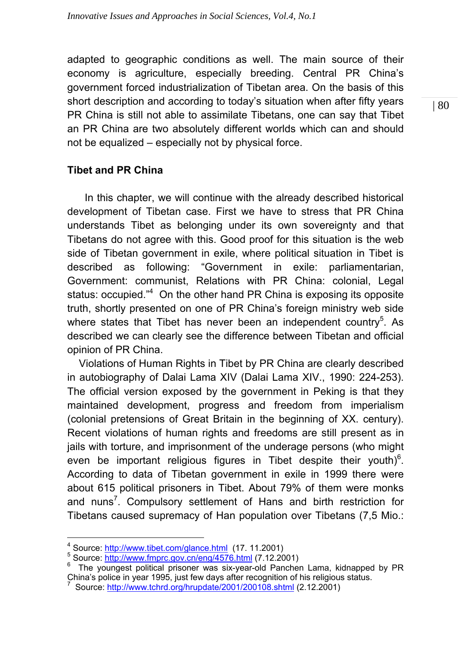adapted to geographic conditions as well. The main source of their economy is agriculture, especially breeding. Central PR China's government forced industrialization of Tibetan area. On the basis of this short description and according to today's situation when after fifty years PR China is still not able to assimilate Tibetans, one can say that Tibet an PR China are two absolutely different worlds which can and should not be equalized – especially not by physical force.

## **Tibet and PR China**

 In this chapter, we will continue with the already described historical development of Tibetan case. First we have to stress that PR China understands Tibet as belonging under its own sovereignty and that Tibetans do not agree with this. Good proof for this situation is the web side of Tibetan government in exile, where political situation in Tibet is described as following: "Government in exile: parliamentarian, Government: communist, Relations with PR China: colonial, Legal status: occupied."<sup>4</sup> On the other hand PR China is exposing its opposite truth, shortly presented on one of PR China's foreign ministry web side where states that Tibet has never been an independent country<sup>5</sup>. As described we can clearly see the difference between Tibetan and official opinion of PR China.

 Violations of Human Rights in Tibet by PR China are clearly described in autobiography of Dalai Lama XIV (Dalai Lama XIV., 1990: 224-253). The official version exposed by the government in Peking is that they maintained development, progress and freedom from imperialism (colonial pretensions of Great Britain in the beginning of XX. century). Recent violations of human rights and freedoms are still present as in jails with torture, and imprisonment of the underage persons (who might even be important religious figures in Tibet despite their youth) $6$ . According to data of Tibetan government in exile in 1999 there were about 615 political prisoners in Tibet. About 79% of them were monks and nuns<sup>7</sup>. Compulsory settlement of Hans and birth restriction for Tibetans caused supremacy of Han population over Tibetans (7,5 Mio.:

 $^4$  Source: http://www.tibet.com/glance.html (17, 11.2001)<br><sup>5</sup> Source: http://www.tmpre.cov.or/opg/4576.html (7, 12,20

<sup>&</sup>lt;sup>5</sup> Source: http://www.fmprc.gov.cn/eng/4576.html (7.12.2001)

The youngest political prisoner was six-year-old Panchen Lama, kidnapped by PR China's police in year 1995, just few days after recognition of his religious status. 7

Source: http://www.tchrd.org/hrupdate/2001/200108.shtml (2.12.2001)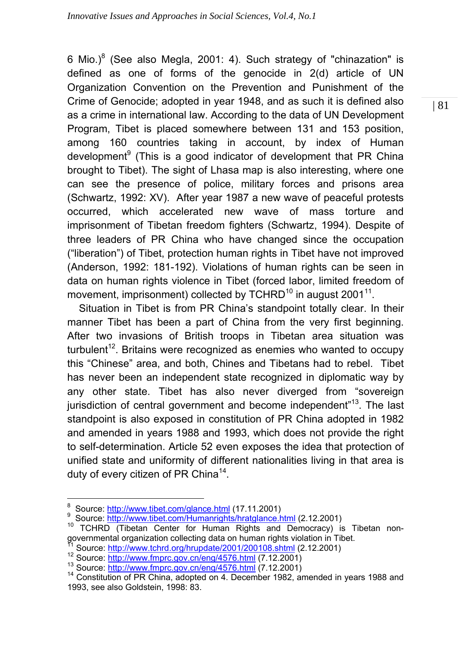6 Mio.) $^8$  (See also Megla, 2001: 4). Such strategy of "chinazation" is defined as one of forms of the genocide in 2(d) article of UN Organization Convention on the Prevention and Punishment of the Crime of Genocide; adopted in year 1948, and as such it is defined also as a crime in international law. According to the data of UN Development Program, Tibet is placed somewhere between 131 and 153 position, among 160 countries taking in account, by index of Human development<sup>9</sup> (This is a good indicator of development that PR China brought to Tibet). The sight of Lhasa map is also interesting, where one can see the presence of police, military forces and prisons area (Schwartz, 1992: XV). After year 1987 a new wave of peaceful protests occurred, which accelerated new wave of mass torture and imprisonment of Tibetan freedom fighters (Schwartz, 1994). Despite of three leaders of PR China who have changed since the occupation ("liberation") of Tibet, protection human rights in Tibet have not improved (Anderson, 1992: 181-192). Violations of human rights can be seen in data on human rights violence in Tibet (forced labor, limited freedom of movement, imprisonment) collected by TCHRD<sup>10</sup> in august 2001<sup>11</sup>.

 Situation in Tibet is from PR China's standpoint totally clear. In their manner Tibet has been a part of China from the very first beginning. After two invasions of British troops in Tibetan area situation was turbulent<sup>12</sup>. Britains were recognized as enemies who wanted to occupy this "Chinese" area, and both, Chines and Tibetans had to rebel. Tibet has never been an independent state recognized in diplomatic way by any other state. Tibet has also never diverged from "sovereign jurisdiction of central government and become independent<sup>"13</sup>. The last standpoint is also exposed in constitution of PR China adopted in 1982 and amended in years 1988 and 1993, which does not provide the right to self-determination. Article 52 even exposes the idea that protection of unified state and uniformity of different nationalities living in that area is duty of every citizen of PR China<sup>14</sup>.

<sup>-&</sup>lt;br>8

<sup>&</sup>lt;sup>9</sup> Source: http://www.tibet.com/Humanrights/hratglance.html (2.12.2001)

<sup>&</sup>lt;sup>10</sup> TCHRD (Tibetan Center for Human Rights and Democracy) is Tibetan nongovernmental organization collecting data on human rights violation in Tibet.<br><sup>11</sup> Source: http://www.tchrd.org/hrupdate/2001/200108.shtml (2.12.2001)

<sup>&</sup>lt;sup>12</sup> Source: http://www.fmprc.gov.cn/eng/4576.html (7.12.2001)<br><sup>13</sup> Source: http://www.fmprc.gov.cn/eng/4576.html (7.12.2001)<br><sup>14</sup> Constitution of PR China, adopted on 4. December 1982, amended in years 1988 and 1993, see also Goldstein, 1998: 83.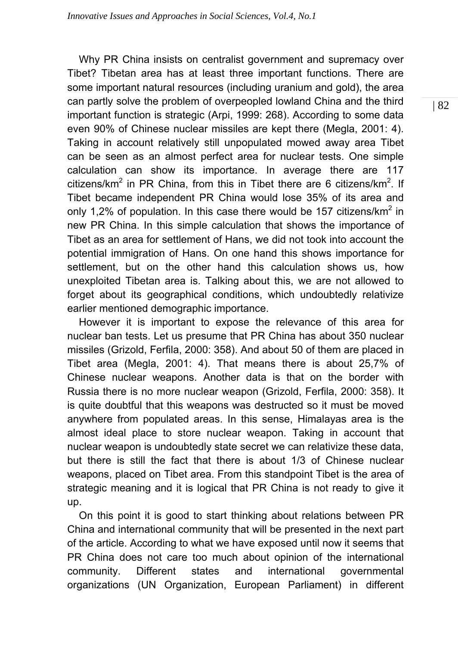Why PR China insists on centralist government and supremacy over Tibet? Tibetan area has at least three important functions. There are some important natural resources (including uranium and gold), the area can partly solve the problem of overpeopled lowland China and the third important function is strategic (Arpi, 1999: 268). According to some data even 90% of Chinese nuclear missiles are kept there (Megla, 2001: 4). Taking in account relatively still unpopulated mowed away area Tibet can be seen as an almost perfect area for nuclear tests. One simple calculation can show its importance. In average there are 117 citizens/km<sup>2</sup> in PR China, from this in Tibet there are 6 citizens/km<sup>2</sup>. If Tibet became independent PR China would lose 35% of its area and only 1,2% of population. In this case there would be 157 citizens/km<sup>2</sup> in new PR China. In this simple calculation that shows the importance of Tibet as an area for settlement of Hans, we did not took into account the potential immigration of Hans. On one hand this shows importance for settlement, but on the other hand this calculation shows us, how unexploited Tibetan area is. Talking about this, we are not allowed to forget about its geographical conditions, which undoubtedly relativize earlier mentioned demographic importance.

 However it is important to expose the relevance of this area for nuclear ban tests. Let us presume that PR China has about 350 nuclear missiles (Grizold, Ferfila, 2000: 358). And about 50 of them are placed in Tibet area (Megla, 2001: 4). That means there is about 25,7% of Chinese nuclear weapons. Another data is that on the border with Russia there is no more nuclear weapon (Grizold, Ferfila, 2000: 358). It is quite doubtful that this weapons was destructed so it must be moved anywhere from populated areas. In this sense, Himalayas area is the almost ideal place to store nuclear weapon. Taking in account that nuclear weapon is undoubtedly state secret we can relativize these data, but there is still the fact that there is about 1/3 of Chinese nuclear weapons, placed on Tibet area. From this standpoint Tibet is the area of strategic meaning and it is logical that PR China is not ready to give it up.

 On this point it is good to start thinking about relations between PR China and international community that will be presented in the next part of the article. According to what we have exposed until now it seems that PR China does not care too much about opinion of the international community. Different states and international governmental organizations (UN Organization, European Parliament) in different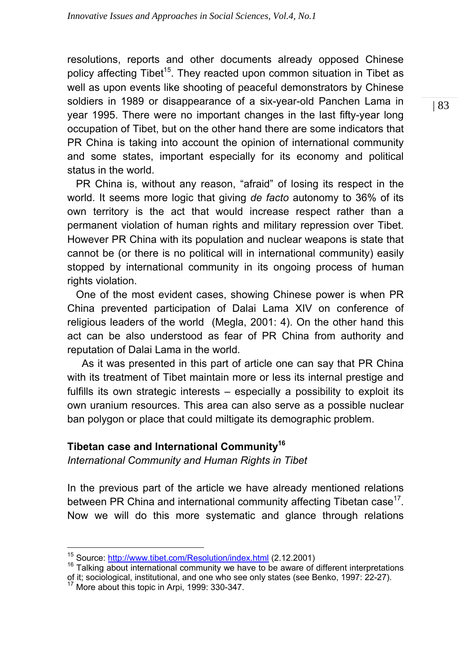resolutions, reports and other documents already opposed Chinese policy affecting Tibet<sup>15</sup>. They reacted upon common situation in Tibet as well as upon events like shooting of peaceful demonstrators by Chinese soldiers in 1989 or disappearance of a six-year-old Panchen Lama in year 1995. There were no important changes in the last fifty-year long occupation of Tibet, but on the other hand there are some indicators that PR China is taking into account the opinion of international community and some states, important especially for its economy and political status in the world.

 PR China is, without any reason, "afraid" of losing its respect in the world. It seems more logic that giving *de facto* autonomy to 36% of its own territory is the act that would increase respect rather than a permanent violation of human rights and military repression over Tibet. However PR China with its population and nuclear weapons is state that cannot be (or there is no political will in international community) easily stopped by international community in its ongoing process of human rights violation.

 One of the most evident cases, showing Chinese power is when PR China prevented participation of Dalai Lama XIV on conference of religious leaders of the world (Megla, 2001: 4). On the other hand this act can be also understood as fear of PR China from authority and reputation of Dalai Lama in the world.

 As it was presented in this part of article one can say that PR China with its treatment of Tibet maintain more or less its internal prestige and fulfills its own strategic interests – especially a possibility to exploit its own uranium resources. This area can also serve as a possible nuclear ban polygon or place that could miltigate its demographic problem.

## **Tibetan case and International Community16**

*International Community and Human Rights in Tibet* 

In the previous part of the article we have already mentioned relations between PR China and international community affecting Tibetan case<sup>17</sup>. Now we will do this more systematic and glance through relations

<sup>&</sup>lt;sup>15</sup> Source: http://www.tibet.com/Resolution/index.html (2.12.2001)

<sup>&</sup>lt;sup>16</sup> Talking about international community we have to be aware of different interpretations of it; sociological, institutional, and one who see only states (see Benko, 1997: 22-27). 17 More about this topic in Arpi, 1999: 330-347.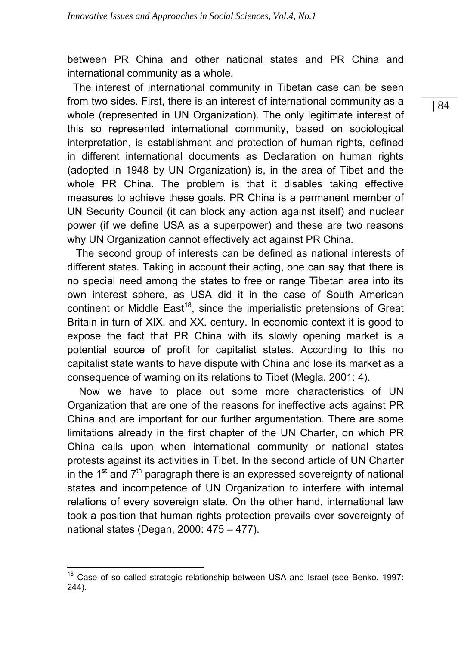between PR China and other national states and PR China and international community as a whole.

 The interest of international community in Tibetan case can be seen from two sides. First, there is an interest of international community as a whole (represented in UN Organization). The only legitimate interest of this so represented international community, based on sociological interpretation, is establishment and protection of human rights, defined in different international documents as Declaration on human rights (adopted in 1948 by UN Organization) is, in the area of Tibet and the whole PR China. The problem is that it disables taking effective measures to achieve these goals. PR China is a permanent member of UN Security Council (it can block any action against itself) and nuclear power (if we define USA as a superpower) and these are two reasons why UN Organization cannot effectively act against PR China.

 The second group of interests can be defined as national interests of different states. Taking in account their acting, one can say that there is no special need among the states to free or range Tibetan area into its own interest sphere, as USA did it in the case of South American continent or Middle East<sup>18</sup>, since the imperialistic pretensions of Great Britain in turn of XIX. and XX. century. In economic context it is good to expose the fact that PR China with its slowly opening market is a potential source of profit for capitalist states. According to this no capitalist state wants to have dispute with China and lose its market as a consequence of warning on its relations to Tibet (Megla, 2001: 4).

 Now we have to place out some more characteristics of UN Organization that are one of the reasons for ineffective acts against PR China and are important for our further argumentation. There are some limitations already in the first chapter of the UN Charter, on which PR China calls upon when international community or national states protests against its activities in Tibet. In the second article of UN Charter in the  $1<sup>st</sup>$  and  $7<sup>th</sup>$  paragraph there is an expressed sovereignty of national states and incompetence of UN Organization to interfere with internal relations of every sovereign state. On the other hand, international law took a position that human rights protection prevails over sovereignty of national states (Degan, 2000: 475 – 477).

 $\overline{a}$ <sup>18</sup> Case of so called strategic relationship between USA and Israel (see Benko, 1997: 244).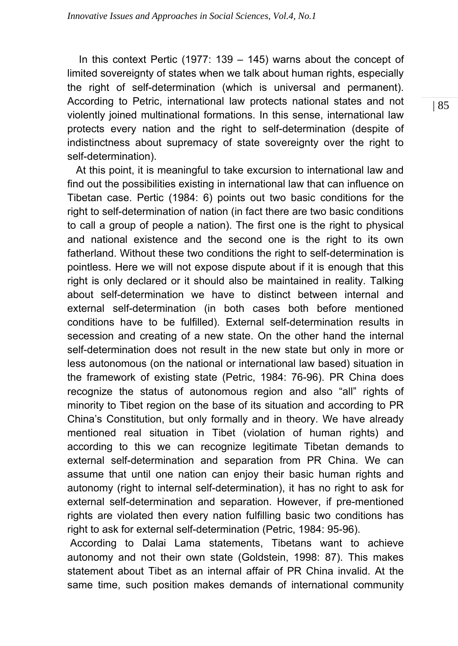In this context Pertic (1977: 139 – 145) warns about the concept of limited sovereignty of states when we talk about human rights, especially the right of self-determination (which is universal and permanent). According to Petric, international law protects national states and not violently joined multinational formations. In this sense, international law protects every nation and the right to self-determination (despite of indistinctness about supremacy of state sovereignty over the right to self-determination).

 At this point, it is meaningful to take excursion to international law and find out the possibilities existing in international law that can influence on Tibetan case. Pertic (1984: 6) points out two basic conditions for the right to self-determination of nation (in fact there are two basic conditions to call a group of people a nation). The first one is the right to physical and national existence and the second one is the right to its own fatherland. Without these two conditions the right to self-determination is pointless. Here we will not expose dispute about if it is enough that this right is only declared or it should also be maintained in reality. Talking about self-determination we have to distinct between internal and external self-determination (in both cases both before mentioned conditions have to be fulfilled). External self-determination results in secession and creating of a new state. On the other hand the internal self-determination does not result in the new state but only in more or less autonomous (on the national or international law based) situation in the framework of existing state (Petric, 1984: 76-96). PR China does recognize the status of autonomous region and also "all" rights of minority to Tibet region on the base of its situation and according to PR China's Constitution, but only formally and in theory. We have already mentioned real situation in Tibet (violation of human rights) and according to this we can recognize legitimate Tibetan demands to external self-determination and separation from PR China. We can assume that until one nation can enjoy their basic human rights and autonomy (right to internal self-determination), it has no right to ask for external self-determination and separation. However, if pre-mentioned rights are violated then every nation fulfilling basic two conditions has right to ask for external self-determination (Petric, 1984: 95-96).

 According to Dalai Lama statements, Tibetans want to achieve autonomy and not their own state (Goldstein, 1998: 87). This makes statement about Tibet as an internal affair of PR China invalid. At the same time, such position makes demands of international community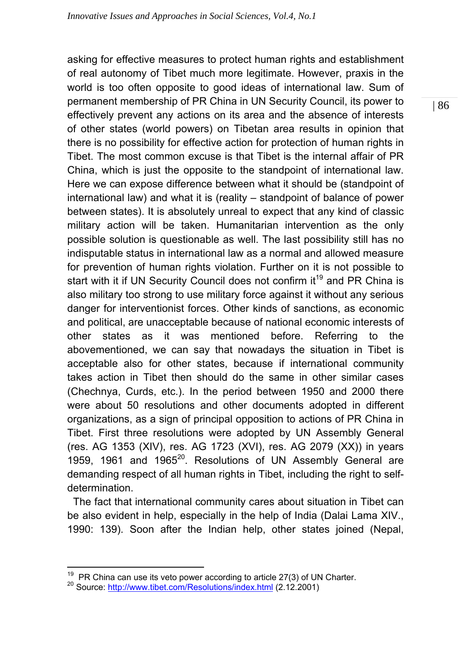asking for effective measures to protect human rights and establishment of real autonomy of Tibet much more legitimate. However, praxis in the world is too often opposite to good ideas of international law. Sum of permanent membership of PR China in UN Security Council, its power to effectively prevent any actions on its area and the absence of interests of other states (world powers) on Tibetan area results in opinion that there is no possibility for effective action for protection of human rights in Tibet. The most common excuse is that Tibet is the internal affair of PR China, which is just the opposite to the standpoint of international law. Here we can expose difference between what it should be (standpoint of international law) and what it is (reality – standpoint of balance of power between states). It is absolutely unreal to expect that any kind of classic military action will be taken. Humanitarian intervention as the only possible solution is questionable as well. The last possibility still has no indisputable status in international law as a normal and allowed measure for prevention of human rights violation. Further on it is not possible to start with it if UN Security Council does not confirm it<sup>19</sup> and PR China is also military too strong to use military force against it without any serious danger for interventionist forces. Other kinds of sanctions, as economic and political, are unacceptable because of national economic interests of other states as it was mentioned before. Referring to the abovementioned, we can say that nowadays the situation in Tibet is acceptable also for other states, because if international community takes action in Tibet then should do the same in other similar cases (Chechnya, Curds, etc.). In the period between 1950 and 2000 there were about 50 resolutions and other documents adopted in different organizations, as a sign of principal opposition to actions of PR China in Tibet. First three resolutions were adopted by UN Assembly General (res. AG 1353 (XIV), res. AG 1723 (XVI), res. AG 2079 (XX)) in years 1959, 1961 and  $1965^{20}$ . Resolutions of UN Assembly General are demanding respect of all human rights in Tibet, including the right to selfdetermination.

 The fact that international community cares about situation in Tibet can be also evident in help, especially in the help of India (Dalai Lama XIV., 1990: 139). Soon after the Indian help, other states joined (Nepal,

<sup>&</sup>lt;sup>19</sup> PR China can use its veto power according to article 27(3) of UN Charter.<br><sup>20</sup> Source: http://www.tibet.com/Resolutions/index.html (2.12.2001)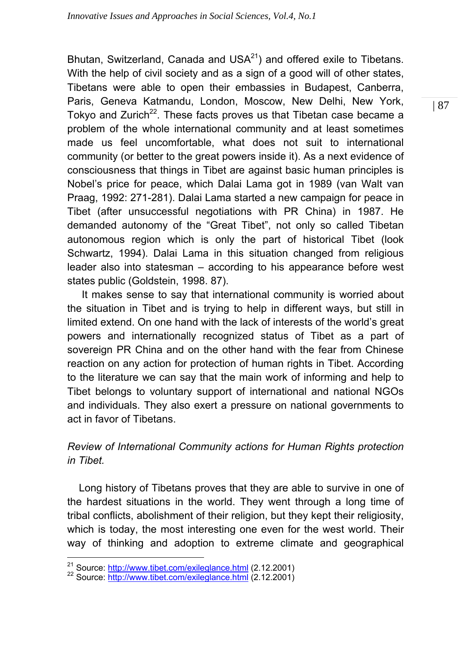Bhutan, Switzerland, Canada and USA $^{21}$ ) and offered exile to Tibetans. With the help of civil society and as a sign of a good will of other states, Tibetans were able to open their embassies in Budapest, Canberra, Paris, Geneva Katmandu, London, Moscow, New Delhi, New York, Tokyo and Zurich<sup>22</sup>. These facts proves us that Tibetan case became a problem of the whole international community and at least sometimes made us feel uncomfortable, what does not suit to international community (or better to the great powers inside it). As a next evidence of consciousness that things in Tibet are against basic human principles is Nobel's price for peace, which Dalai Lama got in 1989 (van Walt van Praag, 1992: 271-281). Dalai Lama started a new campaign for peace in Tibet (after unsuccessful negotiations with PR China) in 1987. He demanded autonomy of the "Great Tibet", not only so called Tibetan autonomous region which is only the part of historical Tibet (look Schwartz, 1994). Dalai Lama in this situation changed from religious leader also into statesman – according to his appearance before west states public (Goldstein, 1998. 87).

 It makes sense to say that international community is worried about the situation in Tibet and is trying to help in different ways, but still in limited extend. On one hand with the lack of interests of the world's great powers and internationally recognized status of Tibet as a part of sovereign PR China and on the other hand with the fear from Chinese reaction on any action for protection of human rights in Tibet. According to the literature we can say that the main work of informing and help to Tibet belongs to voluntary support of international and national NGOs and individuals. They also exert a pressure on national governments to act in favor of Tibetans.

# *Review of International Community actions for Human Rights protection in Tibet.*

 Long history of Tibetans proves that they are able to survive in one of the hardest situations in the world. They went through a long time of tribal conflicts, abolishment of their religion, but they kept their religiosity, which is today, the most interesting one even for the west world. Their way of thinking and adoption to extreme climate and geographical

<sup>&</sup>lt;sup>21</sup> Source: http://www.tibet.com/exileglance.html (2.12.2001) <sup>22</sup> Source: http://www.tibet.com/exileglance.html (2.12.2001)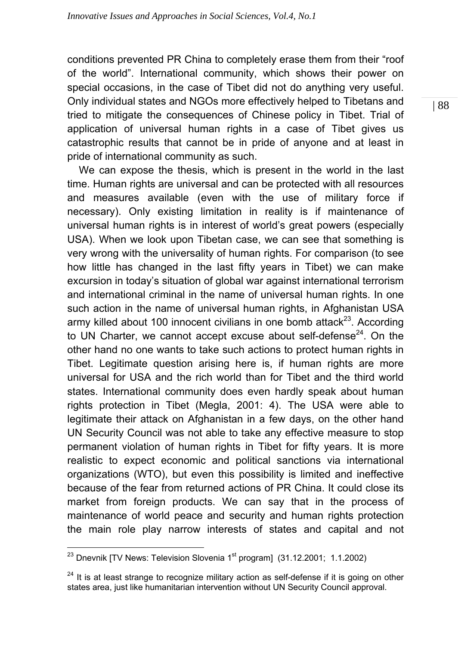conditions prevented PR China to completely erase them from their "roof of the world". International community, which shows their power on special occasions, in the case of Tibet did not do anything very useful. Only individual states and NGOs more effectively helped to Tibetans and tried to mitigate the consequences of Chinese policy in Tibet. Trial of application of universal human rights in a case of Tibet gives us catastrophic results that cannot be in pride of anyone and at least in pride of international community as such.

 We can expose the thesis, which is present in the world in the last time. Human rights are universal and can be protected with all resources and measures available (even with the use of military force if necessary). Only existing limitation in reality is if maintenance of universal human rights is in interest of world's great powers (especially USA). When we look upon Tibetan case, we can see that something is very wrong with the universality of human rights. For comparison (to see how little has changed in the last fifty years in Tibet) we can make excursion in today's situation of global war against international terrorism and international criminal in the name of universal human rights. In one such action in the name of universal human rights, in Afghanistan USA army killed about 100 innocent civilians in one bomb attack $^{23}$ . According to UN Charter, we cannot accept excuse about self-defense $24$ . On the other hand no one wants to take such actions to protect human rights in Tibet. Legitimate question arising here is, if human rights are more universal for USA and the rich world than for Tibet and the third world states. International community does even hardly speak about human rights protection in Tibet (Megla, 2001: 4). The USA were able to legitimate their attack on Afghanistan in a few days, on the other hand UN Security Council was not able to take any effective measure to stop permanent violation of human rights in Tibet for fifty years. It is more realistic to expect economic and political sanctions via international organizations (WTO), but even this possibility is limited and ineffective because of the fear from returned actions of PR China. It could close its market from foreign products. We can say that in the process of maintenance of world peace and security and human rights protection the main role play narrow interests of states and capital and not

 $^{23}$  Dnevnik [TV News: Television Slovenia 1<sup>st</sup> program] (31.12.2001; 1.1.2002)

<sup>&</sup>lt;sup>24</sup> It is at least strange to recognize military action as self-defense if it is going on other states area, just like humanitarian intervention without UN Security Council approval.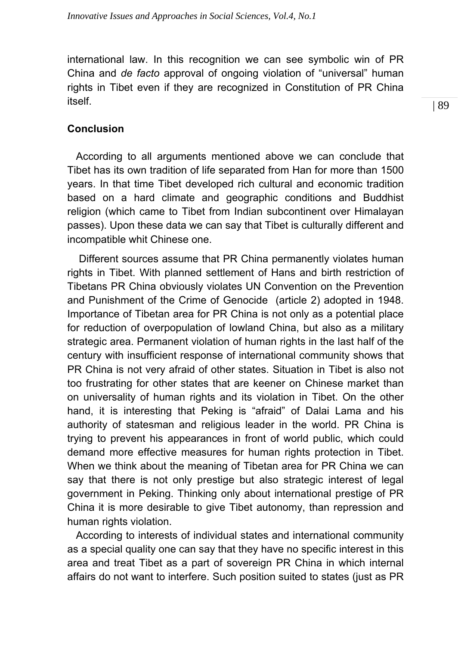international law. In this recognition we can see symbolic win of PR China and *de facto* approval of ongoing violation of "universal" human rights in Tibet even if they are recognized in Constitution of PR China itself.

#### **Conclusion**

 According to all arguments mentioned above we can conclude that Tibet has its own tradition of life separated from Han for more than 1500 years. In that time Tibet developed rich cultural and economic tradition based on a hard climate and geographic conditions and Buddhist religion (which came to Tibet from Indian subcontinent over Himalayan passes). Upon these data we can say that Tibet is culturally different and incompatible whit Chinese one.

 Different sources assume that PR China permanently violates human rights in Tibet. With planned settlement of Hans and birth restriction of Tibetans PR China obviously violates UN Convention on the Prevention and Punishment of the Crime of Genocide (article 2) adopted in 1948. Importance of Tibetan area for PR China is not only as a potential place for reduction of overpopulation of lowland China, but also as a military strategic area. Permanent violation of human rights in the last half of the century with insufficient response of international community shows that PR China is not very afraid of other states. Situation in Tibet is also not too frustrating for other states that are keener on Chinese market than on universality of human rights and its violation in Tibet. On the other hand, it is interesting that Peking is "afraid" of Dalai Lama and his authority of statesman and religious leader in the world. PR China is trying to prevent his appearances in front of world public, which could demand more effective measures for human rights protection in Tibet. When we think about the meaning of Tibetan area for PR China we can say that there is not only prestige but also strategic interest of legal government in Peking. Thinking only about international prestige of PR China it is more desirable to give Tibet autonomy, than repression and human rights violation.

 According to interests of individual states and international community as a special quality one can say that they have no specific interest in this area and treat Tibet as a part of sovereign PR China in which internal affairs do not want to interfere. Such position suited to states (just as PR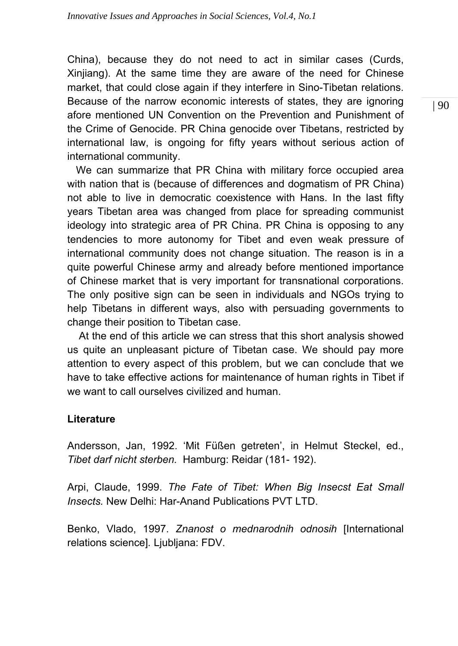China), because they do not need to act in similar cases (Curds, Xinjiang). At the same time they are aware of the need for Chinese market, that could close again if they interfere in Sino-Tibetan relations. Because of the narrow economic interests of states, they are ignoring afore mentioned UN Convention on the Prevention and Punishment of the Crime of Genocide. PR China genocide over Tibetans, restricted by international law, is ongoing for fifty years without serious action of international community.

 We can summarize that PR China with military force occupied area with nation that is (because of differences and dogmatism of PR China) not able to live in democratic coexistence with Hans. In the last fifty years Tibetan area was changed from place for spreading communist ideology into strategic area of PR China. PR China is opposing to any tendencies to more autonomy for Tibet and even weak pressure of international community does not change situation. The reason is in a quite powerful Chinese army and already before mentioned importance of Chinese market that is very important for transnational corporations. The only positive sign can be seen in individuals and NGOs trying to help Tibetans in different ways, also with persuading governments to change their position to Tibetan case.

 At the end of this article we can stress that this short analysis showed us quite an unpleasant picture of Tibetan case. We should pay more attention to every aspect of this problem, but we can conclude that we have to take effective actions for maintenance of human rights in Tibet if we want to call ourselves civilized and human.

## **Literature**

Andersson, Jan, 1992. 'Mit Füßen getreten', in Helmut Steckel, ed., *Tibet darf nicht sterben.* Hamburg: Reidar (181- 192).

Arpi, Claude, 1999. *The Fate of Tibet: When Big Insecst Eat Small Insects.* New Delhi: Har-Anand Publications PVT LTD.

Benko, Vlado, 1997. *Znanost o mednarodnih odnosih* [International relations science]*.* Ljubljana: FDV.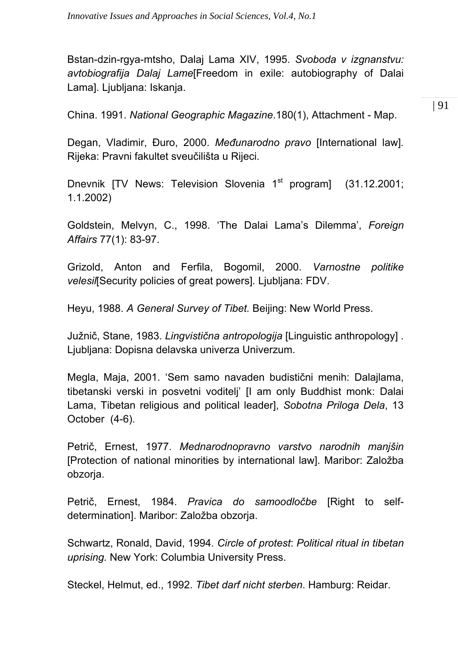Bstan-dzin-rgya-mtsho, Dalaj Lama XIV, 1995. *Svoboda v izgnanstvu: avtobiografija Dalaj Lame*[Freedom in exile: autobiography of Dalai Lama]. Ljubljana: Iskanja.

China. 1991. *National Geographic Magazine*.180(1), Attachment - Map.

Degan, Vladimir, Đuro, 2000. *Međunarodno pravo* [International law]*.* Rijeka: Pravni fakultet sveučilišta u Rijeci.

Dnevnik [TV News: Television Slovenia 1<sup>st</sup> program] (31.12.2001; 1.1.2002)

Goldstein, Melvyn, C., 1998. 'The Dalai Lama's Dilemma', *Foreign Affairs* 77(1): 83-97.

Grizold, Anton and Ferfila, Bogomil, 2000. *Varnostne politike velesil*[Security policies of great powers]*.* Ljubljana: FDV.

Heyu, 1988. *A General Survey of Tibet.* Beijing: New World Press.

Južnič, Stane, 1983. *Lingvistična antropologija* [Linguistic anthropology] *.* Ljubljana: Dopisna delavska univerza Univerzum.

Megla, Maja, 2001. 'Sem samo navaden budistični menih: Dalajlama, tibetanski verski in posvetni voditelj' [I am only Buddhist monk: Dalai Lama, Tibetan religious and political leader], *Sobotna Priloga Dela*, 13 October (4-6).

Petrič, Ernest, 1977. *Mednarodnopravno varstvo narodnih manjšin*  [Protection of national minorities by international law]. Maribor: Založba obzorja.

Petrič, Ernest, 1984. *Pravica do samoodločbe* [Right to selfdetermination]. Maribor: Založba obzorja.

Schwartz, Ronald, David, 1994. *Circle of protest*: *Political ritual in tibetan uprising.* New York: Columbia University Press.

Steckel, Helmut, ed., 1992. *Tibet darf nicht sterben*. Hamburg: Reidar.